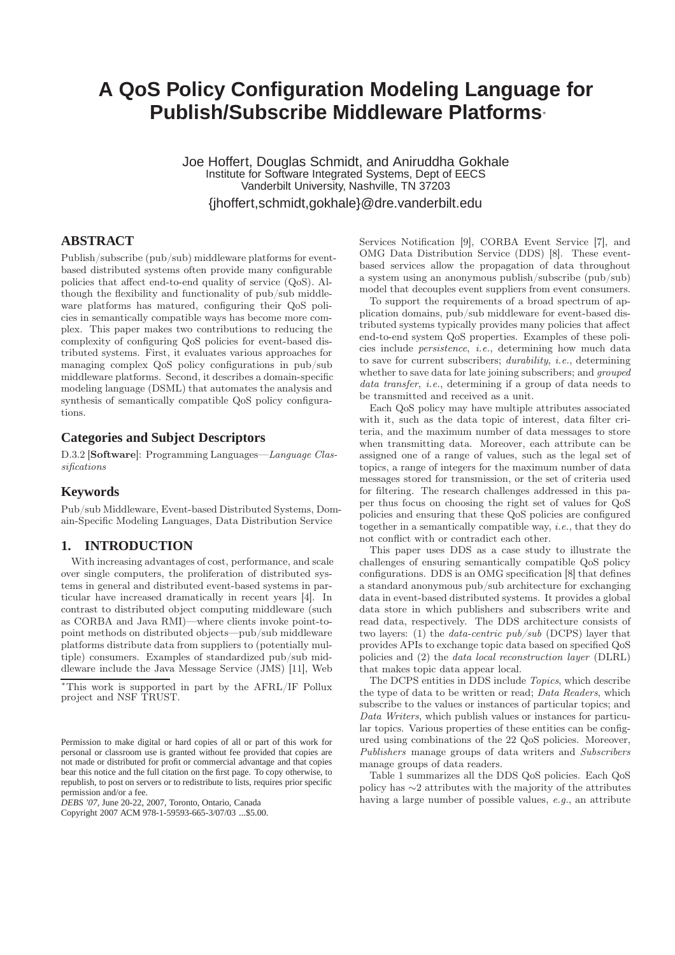# **A QoS Policy Configuration Modeling Language for Publish/Subscribe Middleware Platforms**<sup>∗</sup>

Joe Hoffert, Douglas Schmidt, and Aniruddha Gokhale Institute for Software Integrated Systems, Dept of EECS Vanderbilt University, Nashville, TN 37203 {jhoffert,schmidt,gokhale}@dre.vanderbilt.edu

# **ABSTRACT**

Publish/subscribe (pub/sub) middleware platforms for eventbased distributed systems often provide many configurable policies that affect end-to-end quality of service (QoS). Although the flexibility and functionality of pub/sub middleware platforms has matured, configuring their QoS policies in semantically compatible ways has become more complex. This paper makes two contributions to reducing the complexity of configuring QoS policies for event-based distributed systems. First, it evaluates various approaches for managing complex QoS policy configurations in pub/sub middleware platforms. Second, it describes a domain-specific modeling language (DSML) that automates the analysis and synthesis of semantically compatible QoS policy configurations.

### **Categories and Subject Descriptors**

D.3.2 [Software]: Programming Languages—Language Classifications

# **Keywords**

Pub/sub Middleware, Event-based Distributed Systems, Domain-Specific Modeling Languages, Data Distribution Service

# **1. INTRODUCTION**

With increasing advantages of cost, performance, and scale over single computers, the proliferation of distributed systems in general and distributed event-based systems in particular have increased dramatically in recent years [4]. In contrast to distributed object computing middleware (such as CORBA and Java RMI)—where clients invoke point-topoint methods on distributed objects—pub/sub middleware platforms distribute data from suppliers to (potentially multiple) consumers. Examples of standardized pub/sub middleware include the Java Message Service (JMS) [11], Web

*DEBS '07,* June 20-22, 2007, Toronto, Ontario, Canada

Copyright 2007 ACM 978-1-59593-665-3/07/03 ...\$5.00.

Services Notification [9], CORBA Event Service [7], and OMG Data Distribution Service (DDS) [8]. These eventbased services allow the propagation of data throughout a system using an anonymous publish/subscribe (pub/sub) model that decouples event suppliers from event consumers.

To support the requirements of a broad spectrum of application domains, pub/sub middleware for event-based distributed systems typically provides many policies that affect end-to-end system QoS properties. Examples of these policies include persistence, i.e., determining how much data to save for current subscribers; durability, i.e., determining whether to save data for late joining subscribers; and *grouped* data transfer, *i.e.*, determining if a group of data needs to be transmitted and received as a unit.

Each QoS policy may have multiple attributes associated with it, such as the data topic of interest, data filter criteria, and the maximum number of data messages to store when transmitting data. Moreover, each attribute can be assigned one of a range of values, such as the legal set of topics, a range of integers for the maximum number of data messages stored for transmission, or the set of criteria used for filtering. The research challenges addressed in this paper thus focus on choosing the right set of values for QoS policies and ensuring that these QoS policies are configured together in a semantically compatible way,  $i.e.,$  that they do not conflict with or contradict each other.

This paper uses DDS as a case study to illustrate the challenges of ensuring semantically compatible QoS policy configurations. DDS is an OMG specification [8] that defines a standard anonymous pub/sub architecture for exchanging data in event-based distributed systems. It provides a global data store in which publishers and subscribers write and read data, respectively. The DDS architecture consists of two layers: (1) the *data-centric pub/sub* (DCPS) layer that provides APIs to exchange topic data based on specified QoS policies and (2) the data local reconstruction layer (DLRL) that makes topic data appear local.

The DCPS entities in DDS include Topics, which describe the type of data to be written or read; Data Readers, which subscribe to the values or instances of particular topics; and Data Writers, which publish values or instances for particular topics. Various properties of these entities can be configured using combinations of the 22 QoS policies. Moreover, Publishers manage groups of data writers and Subscribers manage groups of data readers.

Table 1 summarizes all the DDS QoS policies. Each QoS policy has ∼2 attributes with the majority of the attributes having a large number of possible values, e.g., an attribute

<sup>∗</sup>This work is supported in part by the AFRL/IF Pollux project and NSF TRUST.

Permission to make digital or hard copies of all or part of this work for personal or classroom use is granted without fee provided that copies are not made or distributed for profit or commercial advantage and that copies bear this notice and the full citation on the first page. To copy otherwise, to republish, to post on servers or to redistribute to lists, requires prior specific permission and/or a fee.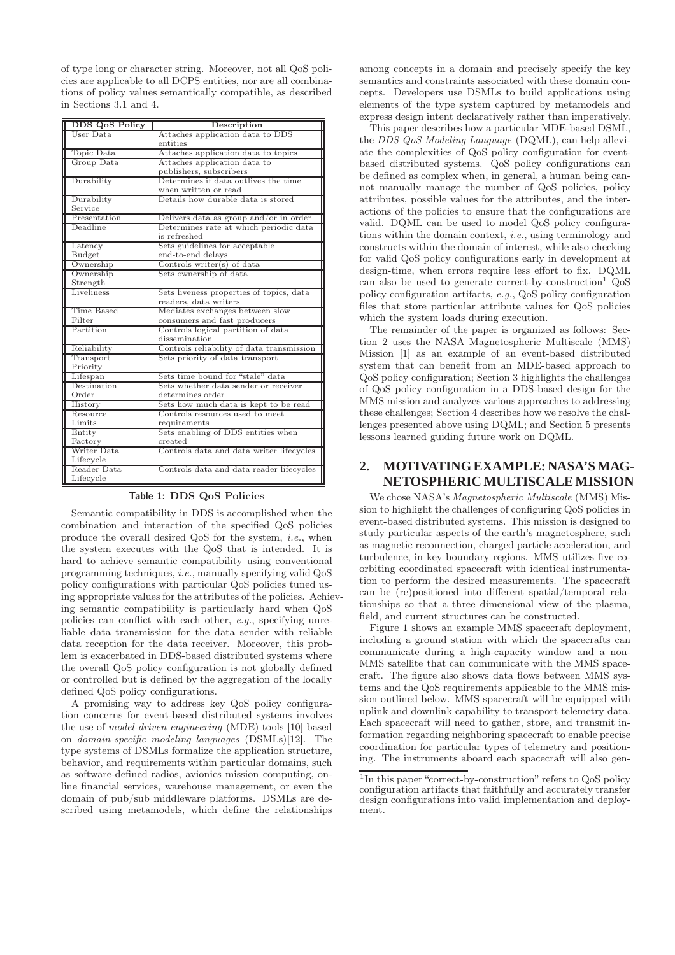of type long or character string. Moreover, not all QoS policies are applicable to all DCPS entities, nor are all combinations of policy values semantically compatible, as described in Sections 3.1 and 4.

| DDS QoS Policy | Description                               |
|----------------|-------------------------------------------|
| User Data      | Attaches application data to DDS          |
|                | entities                                  |
| Topic Data     | Attaches application data to topics       |
| Group Data     | Attaches application data to              |
|                | publishers, subscribers                   |
| Durability     | Determines if data outlives the time      |
|                | when written or read                      |
| Durability     | Details how durable data is stored        |
| Service        |                                           |
| Presentation   | Delivers data as group and/or in order    |
| Deadline       | Determines rate at which periodic data    |
|                | is refreshed                              |
| Latency        | Sets guidelines for acceptable            |
| Budget         | end-to-end delays                         |
| Ownership      | Controls writer(s) of data                |
| Ownership      | Sets ownership of data                    |
| Strength       |                                           |
| Liveliness     | Sets liveness properties of topics, data  |
|                | readers, data writers                     |
| Time Based     | Mediates exchanges between slow           |
| Filter         | consumers and fast producers              |
| Partition      | Controls logical partition of data        |
|                | dissemination                             |
| Reliability    | Controls reliability of data transmission |
| Transport      | Sets priority of data transport           |
| Priority       |                                           |
| Lifespan       | Sets time bound for "stale" data          |
| Destination    | Sets whether data sender or receiver      |
| Order          | determines order                          |
| History        | Sets how much data is kept to be read     |
| Resource       | Controls resources used to meet           |
| Limits         | requirements                              |
| Entity         | Sets enabling of DDS entities when        |
| Factory        | created                                   |
| Writer Data    | Controls data and data writer lifecycles  |
| Lifecycle      |                                           |
| Reader Data    | Controls data and data reader lifecycles  |
| Lifecycle      |                                           |

Table 1: DDS QoS Policies

Semantic compatibility in DDS is accomplished when the combination and interaction of the specified QoS policies produce the overall desired QoS for the system, i.e., when the system executes with the QoS that is intended. It is hard to achieve semantic compatibility using conventional programming techniques, i.e., manually specifying valid QoS policy configurations with particular QoS policies tuned using appropriate values for the attributes of the policies. Achieving semantic compatibility is particularly hard when QoS policies can conflict with each other, e.g., specifying unreliable data transmission for the data sender with reliable data reception for the data receiver. Moreover, this problem is exacerbated in DDS-based distributed systems where the overall QoS policy configuration is not globally defined or controlled but is defined by the aggregation of the locally defined QoS policy configurations.

A promising way to address key QoS policy configuration concerns for event-based distributed systems involves the use of model-driven engineering (MDE) tools [10] based on domain-specific modeling languages (DSMLs)[12]. The type systems of DSMLs formalize the application structure, behavior, and requirements within particular domains, such as software-defined radios, avionics mission computing, online financial services, warehouse management, or even the domain of pub/sub middleware platforms. DSMLs are described using metamodels, which define the relationships

among concepts in a domain and precisely specify the key semantics and constraints associated with these domain concepts. Developers use DSMLs to build applications using elements of the type system captured by metamodels and express design intent declaratively rather than imperatively.

This paper describes how a particular MDE-based DSML, the DDS QoS Modeling Language (DQML), can help alleviate the complexities of QoS policy configuration for eventbased distributed systems. QoS policy configurations can be defined as complex when, in general, a human being cannot manually manage the number of QoS policies, policy attributes, possible values for the attributes, and the interactions of the policies to ensure that the configurations are valid. DQML can be used to model QoS policy configurations within the domain context, i.e., using terminology and constructs within the domain of interest, while also checking for valid QoS policy configurations early in development at design-time, when errors require less effort to fix. DQML can also be used to generate correct-by-construction<sup>1</sup>  $Q_0S$ policy configuration artifacts, e.g., QoS policy configuration files that store particular attribute values for QoS policies which the system loads during execution.

The remainder of the paper is organized as follows: Section 2 uses the NASA Magnetospheric Multiscale (MMS) Mission [1] as an example of an event-based distributed system that can benefit from an MDE-based approach to QoS policy configuration; Section 3 highlights the challenges of QoS policy configuration in a DDS-based design for the MMS mission and analyzes various approaches to addressing these challenges; Section 4 describes how we resolve the challenges presented above using DQML; and Section 5 presents lessons learned guiding future work on DQML.

# **2. MOTIVATING EXAMPLE: NASA'S MAG-NETOSPHERIC MULTISCALE MISSION**

We chose NASA's Magnetospheric Multiscale (MMS) Mission to highlight the challenges of configuring QoS policies in event-based distributed systems. This mission is designed to study particular aspects of the earth's magnetosphere, such as magnetic reconnection, charged particle acceleration, and turbulence, in key boundary regions. MMS utilizes five coorbiting coordinated spacecraft with identical instrumentation to perform the desired measurements. The spacecraft can be (re)positioned into different spatial/temporal relationships so that a three dimensional view of the plasma, field, and current structures can be constructed.

Figure 1 shows an example MMS spacecraft deployment, including a ground station with which the spacecrafts can communicate during a high-capacity window and a non-MMS satellite that can communicate with the MMS spacecraft. The figure also shows data flows between MMS systems and the QoS requirements applicable to the MMS mission outlined below. MMS spacecraft will be equipped with uplink and downlink capability to transport telemetry data. Each spacecraft will need to gather, store, and transmit information regarding neighboring spacecraft to enable precise coordination for particular types of telemetry and positioning. The instruments aboard each spacecraft will also gen-

<sup>&</sup>lt;sup>1</sup>In this paper "correct-by-construction" refers to QoS policy configuration artifacts that faithfully and accurately transfer design configurations into valid implementation and deployment.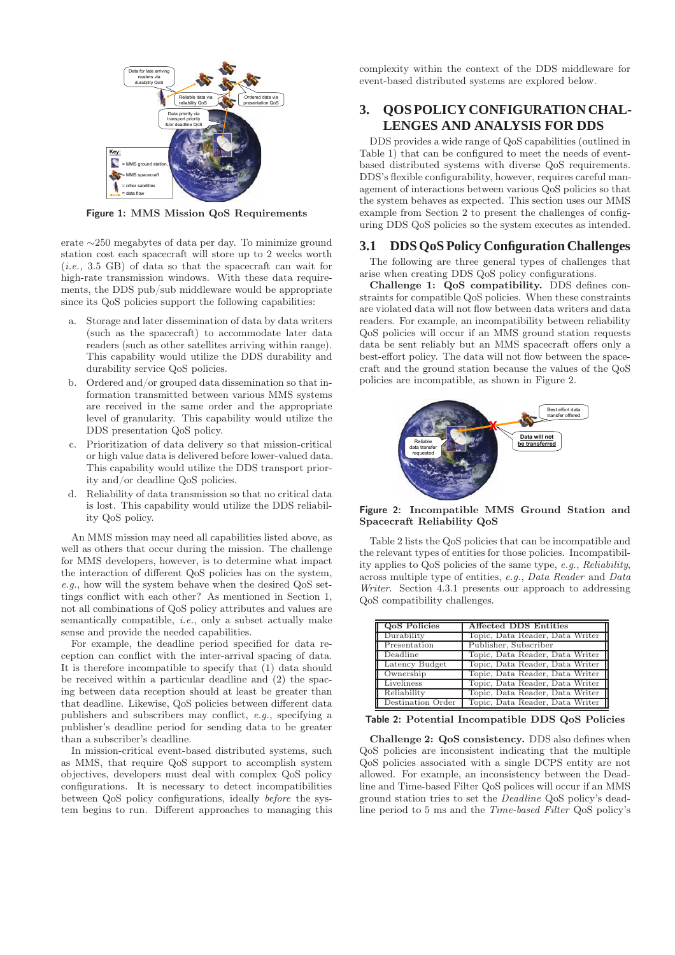

Figure 1: MMS Mission QoS Requirements

erate ∼250 megabytes of data per day. To minimize ground station cost each spacecraft will store up to 2 weeks worth (i.e., 3.5 GB) of data so that the spacecraft can wait for high-rate transmission windows. With these data requirements, the DDS pub/sub middleware would be appropriate since its QoS policies support the following capabilities:

- a. Storage and later dissemination of data by data writers (such as the spacecraft) to accommodate later data readers (such as other satellites arriving within range). This capability would utilize the DDS durability and durability service QoS policies.
- b. Ordered and/or grouped data dissemination so that information transmitted between various MMS systems are received in the same order and the appropriate level of granularity. This capability would utilize the DDS presentation QoS policy.
- c. Prioritization of data delivery so that mission-critical or high value data is delivered before lower-valued data. This capability would utilize the DDS transport priority and/or deadline QoS policies.
- d. Reliability of data transmission so that no critical data is lost. This capability would utilize the DDS reliability QoS policy.

An MMS mission may need all capabilities listed above, as well as others that occur during the mission. The challenge for MMS developers, however, is to determine what impact the interaction of different QoS policies has on the system, e.g., how will the system behave when the desired QoS settings conflict with each other? As mentioned in Section 1, not all combinations of QoS policy attributes and values are semantically compatible, i.e., only a subset actually make sense and provide the needed capabilities.

For example, the deadline period specified for data reception can conflict with the inter-arrival spacing of data. It is therefore incompatible to specify that (1) data should be received within a particular deadline and (2) the spacing between data reception should at least be greater than that deadline. Likewise, QoS policies between different data publishers and subscribers may conflict, e.g., specifying a publisher's deadline period for sending data to be greater than a subscriber's deadline.

In mission-critical event-based distributed systems, such as MMS, that require QoS support to accomplish system objectives, developers must deal with complex QoS policy configurations. It is necessary to detect incompatibilities between QoS policy configurations, ideally before the system begins to run. Different approaches to managing this complexity within the context of the DDS middleware for event-based distributed systems are explored below.

# **3. QOS POLICY CONFIGURATION CHAL-LENGES AND ANALYSIS FOR DDS**

DDS provides a wide range of QoS capabilities (outlined in Table 1) that can be configured to meet the needs of eventbased distributed systems with diverse QoS requirements. DDS's flexible configurability, however, requires careful management of interactions between various QoS policies so that the system behaves as expected. This section uses our MMS example from Section 2 to present the challenges of configuring DDS QoS policies so the system executes as intended.

## **3.1 DDS QoS Policy Configuration Challenges**

The following are three general types of challenges that arise when creating DDS QoS policy configurations.

Challenge 1: QoS compatibility. DDS defines constraints for compatible QoS policies. When these constraints are violated data will not flow between data writers and data readers. For example, an incompatibility between reliability QoS policies will occur if an MMS ground station requests data be sent reliably but an MMS spacecraft offers only a best-effort policy. The data will not flow between the spacecraft and the ground station because the values of the QoS policies are incompatible, as shown in Figure 2.



#### Figure 2: Incompatible MMS Ground Station and Spacecraft Reliability QoS

Table 2 lists the QoS policies that can be incompatible and the relevant types of entities for those policies. Incompatibility applies to QoS policies of the same type, e.g., Reliability, across multiple type of entities, e.g., Data Reader and Data Writer. Section 4.3.1 presents our approach to addressing QoS compatibility challenges.

| <b>QoS</b> Policies | <b>Affected DDS Entities</b>    |
|---------------------|---------------------------------|
| Durability          | Topic, Data Reader, Data Writer |
| Presentation        | Publisher, Subscriber           |
| Deadline            | Topic, Data Reader, Data Writer |
| Latency Budget      | Topic, Data Reader, Data Writer |
| Ownership           | Topic, Data Reader, Data Writer |
| Liveliness          | Topic, Data Reader, Data Writer |
| Reliability         | Topic, Data Reader, Data Writer |
| Destination Order   | Topic, Data Reader, Data Writer |

Table 2: Potential Incompatible DDS QoS Policies

Challenge 2: QoS consistency. DDS also defines when QoS policies are inconsistent indicating that the multiple QoS policies associated with a single DCPS entity are not allowed. For example, an inconsistency between the Deadline and Time-based Filter QoS polices will occur if an MMS ground station tries to set the Deadline QoS policy's deadline period to 5 ms and the Time-based Filter QoS policy's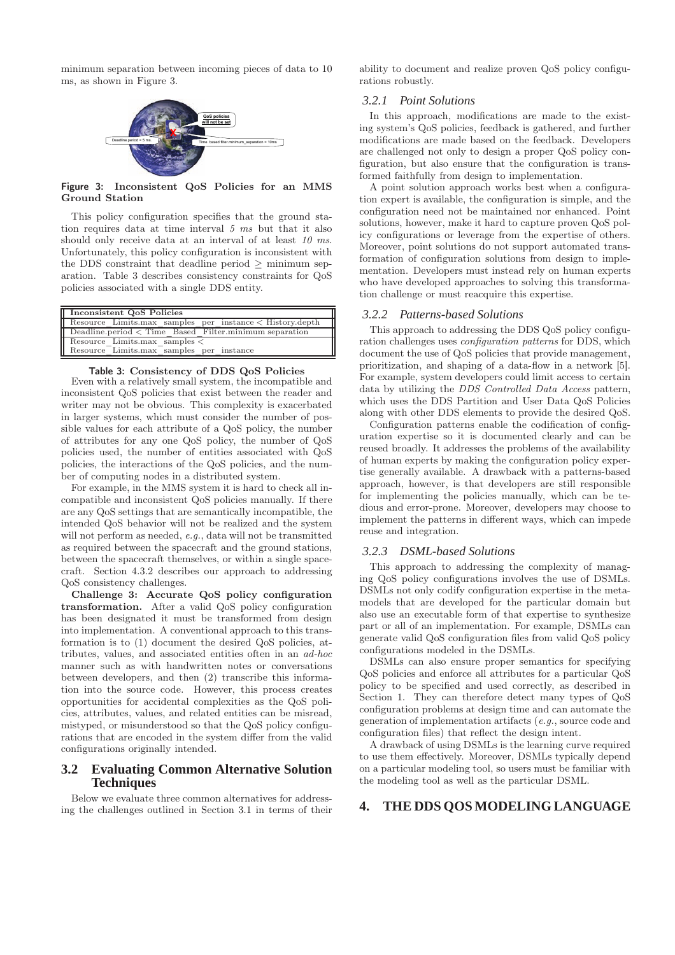minimum separation between incoming pieces of data to 10 ms, as shown in Figure 3.



Figure 3: Inconsistent QoS Policies for an MMS Ground Station

This policy configuration specifies that the ground station requires data at time interval 5 ms but that it also should only receive data at an interval of at least 10 ms. Unfortunately, this policy configuration is inconsistent with the DDS constraint that deadline period  $\geq$  minimum separation. Table 3 describes consistency constraints for QoS policies associated with a single DDS entity.

| Inconsistent QoS Policies                                                     |  |
|-------------------------------------------------------------------------------|--|
| Resource Limits.max samples per instance < History.depth                      |  |
| Deadline.period < Time Based Filter.minimum separation                        |  |
| Resource Limits.max samples $\lt$<br>Resource Limits.max samples per instance |  |

## Table 3: Consistency of DDS QoS Policies

Even with a relatively small system, the incompatible and inconsistent QoS policies that exist between the reader and writer may not be obvious. This complexity is exacerbated in larger systems, which must consider the number of possible values for each attribute of a QoS policy, the number of attributes for any one QoS policy, the number of QoS policies used, the number of entities associated with QoS policies, the interactions of the QoS policies, and the number of computing nodes in a distributed system.

For example, in the MMS system it is hard to check all incompatible and inconsistent QoS policies manually. If there are any QoS settings that are semantically incompatible, the intended QoS behavior will not be realized and the system will not perform as needed, e.g., data will not be transmitted as required between the spacecraft and the ground stations, between the spacecraft themselves, or within a single spacecraft. Section 4.3.2 describes our approach to addressing QoS consistency challenges.

Challenge 3: Accurate QoS policy configuration transformation. After a valid QoS policy configuration has been designated it must be transformed from design into implementation. A conventional approach to this transformation is to (1) document the desired QoS policies, attributes, values, and associated entities often in an ad-hoc manner such as with handwritten notes or conversations between developers, and then (2) transcribe this information into the source code. However, this process creates opportunities for accidental complexities as the QoS policies, attributes, values, and related entities can be misread, mistyped, or misunderstood so that the QoS policy configurations that are encoded in the system differ from the valid configurations originally intended.

### **3.2 Evaluating Common Alternative Solution Techniques**

Below we evaluate three common alternatives for addressing the challenges outlined in Section 3.1 in terms of their

ability to document and realize proven QoS policy configurations robustly.

#### *3.2.1 Point Solutions*

In this approach, modifications are made to the existing system's QoS policies, feedback is gathered, and further modifications are made based on the feedback. Developers are challenged not only to design a proper QoS policy configuration, but also ensure that the configuration is transformed faithfully from design to implementation.

A point solution approach works best when a configuration expert is available, the configuration is simple, and the configuration need not be maintained nor enhanced. Point solutions, however, make it hard to capture proven QoS policy configurations or leverage from the expertise of others. Moreover, point solutions do not support automated transformation of configuration solutions from design to implementation. Developers must instead rely on human experts who have developed approaches to solving this transformation challenge or must reacquire this expertise.

#### *3.2.2 Patterns-based Solutions*

This approach to addressing the DDS QoS policy configuration challenges uses configuration patterns for DDS, which document the use of QoS policies that provide management, prioritization, and shaping of a data-flow in a network [5]. For example, system developers could limit access to certain data by utilizing the DDS Controlled Data Access pattern, which uses the DDS Partition and User Data QoS Policies along with other DDS elements to provide the desired QoS.

Configuration patterns enable the codification of configuration expertise so it is documented clearly and can be reused broadly. It addresses the problems of the availability of human experts by making the configuration policy expertise generally available. A drawback with a patterns-based approach, however, is that developers are still responsible for implementing the policies manually, which can be tedious and error-prone. Moreover, developers may choose to implement the patterns in different ways, which can impede reuse and integration.

#### *3.2.3 DSML-based Solutions*

This approach to addressing the complexity of managing QoS policy configurations involves the use of DSMLs. DSMLs not only codify configuration expertise in the metamodels that are developed for the particular domain but also use an executable form of that expertise to synthesize part or all of an implementation. For example, DSMLs can generate valid QoS configuration files from valid QoS policy configurations modeled in the DSMLs.

DSMLs can also ensure proper semantics for specifying QoS policies and enforce all attributes for a particular QoS policy to be specified and used correctly, as described in Section 1. They can therefore detect many types of QoS configuration problems at design time and can automate the generation of implementation artifacts (e.g., source code and configuration files) that reflect the design intent.

A drawback of using DSMLs is the learning curve required to use them effectively. Moreover, DSMLs typically depend on a particular modeling tool, so users must be familiar with the modeling tool as well as the particular DSML.

#### **4. THE DDS QOS MODELING LANGUAGE**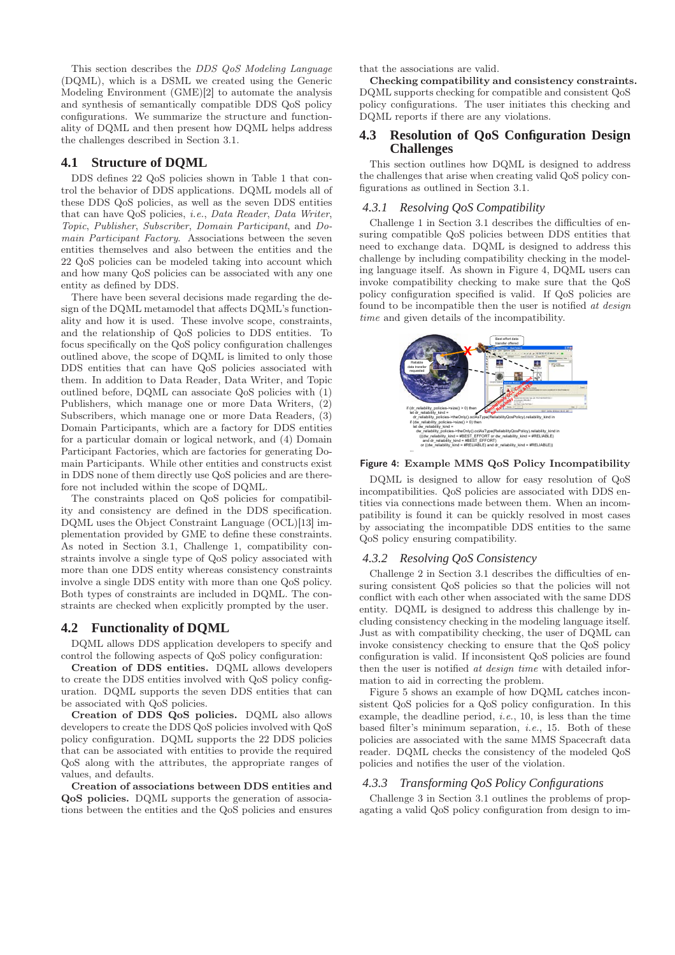This section describes the DDS QoS Modeling Language (DQML), which is a DSML we created using the Generic Modeling Environment (GME)[2] to automate the analysis and synthesis of semantically compatible DDS QoS policy configurations. We summarize the structure and functionality of DQML and then present how DQML helps address the challenges described in Section 3.1.

# **4.1 Structure of DQML**

DDS defines 22 QoS policies shown in Table 1 that control the behavior of DDS applications. DQML models all of these DDS QoS policies, as well as the seven DDS entities that can have QoS policies, i.e., Data Reader, Data Writer, Topic, Publisher, Subscriber, Domain Participant, and Domain Participant Factory. Associations between the seven entities themselves and also between the entities and the 22 QoS policies can be modeled taking into account which and how many QoS policies can be associated with any one entity as defined by DDS.

There have been several decisions made regarding the design of the DQML metamodel that affects DQML's functionality and how it is used. These involve scope, constraints, and the relationship of QoS policies to DDS entities. To focus specifically on the QoS policy configuration challenges outlined above, the scope of DQML is limited to only those DDS entities that can have QoS policies associated with them. In addition to Data Reader, Data Writer, and Topic outlined before, DQML can associate QoS policies with (1) Publishers, which manage one or more Data Writers, (2) Subscribers, which manage one or more Data Readers, (3) Domain Participants, which are a factory for DDS entities for a particular domain or logical network, and (4) Domain Participant Factories, which are factories for generating Domain Participants. While other entities and constructs exist in DDS none of them directly use QoS policies and are therefore not included within the scope of DQML.

The constraints placed on QoS policies for compatibility and consistency are defined in the DDS specification. DQML uses the Object Constraint Language (OCL)[13] implementation provided by GME to define these constraints. As noted in Section 3.1, Challenge 1, compatibility constraints involve a single type of QoS policy associated with more than one DDS entity whereas consistency constraints involve a single DDS entity with more than one QoS policy. Both types of constraints are included in DQML. The constraints are checked when explicitly prompted by the user.

# **4.2 Functionality of DQML**

DQML allows DDS application developers to specify and control the following aspects of QoS policy configuration:

Creation of DDS entities. DQML allows developers to create the DDS entities involved with QoS policy configuration. DQML supports the seven DDS entities that can be associated with QoS policies.

Creation of DDS QoS policies. DQML also allows developers to create the DDS QoS policies involved with QoS policy configuration. DQML supports the 22 DDS policies that can be associated with entities to provide the required QoS along with the attributes, the appropriate ranges of values, and defaults.

Creation of associations between DDS entities and QoS policies. DQML supports the generation of associations between the entities and the QoS policies and ensures that the associations are valid.

Checking compatibility and consistency constraints. DQML supports checking for compatible and consistent QoS policy configurations. The user initiates this checking and DQML reports if there are any violations.

## **4.3 Resolution of QoS Configuration Design Challenges**

This section outlines how DQML is designed to address the challenges that arise when creating valid QoS policy configurations as outlined in Section 3.1.

#### *4.3.1 Resolving QoS Compatibility*

Challenge 1 in Section 3.1 describes the difficulties of ensuring compatible QoS policies between DDS entities that need to exchange data. DQML is designed to address this challenge by including compatibility checking in the modeling language itself. As shown in Figure 4, DQML users can invoke compatibility checking to make sure that the QoS policy configuration specified is valid. If QoS policies are found to be incompatible then the user is notified at design time and given details of the incompatibility.



#### Figure 4: Example MMS QoS Policy Incompatibility

DQML is designed to allow for easy resolution of QoS incompatibilities. QoS policies are associated with DDS entities via connections made between them. When an incompatibility is found it can be quickly resolved in most cases by associating the incompatible DDS entities to the same QoS policy ensuring compatibility.

#### *4.3.2 Resolving QoS Consistency*

Challenge 2 in Section 3.1 describes the difficulties of ensuring consistent QoS policies so that the policies will not conflict with each other when associated with the same DDS entity. DQML is designed to address this challenge by including consistency checking in the modeling language itself. Just as with compatibility checking, the user of DQML can invoke consistency checking to ensure that the QoS policy configuration is valid. If inconsistent QoS policies are found then the user is notified *at design time* with detailed information to aid in correcting the problem.

Figure 5 shows an example of how DQML catches inconsistent QoS policies for a QoS policy configuration. In this example, the deadline period, *i.e.*, 10, is less than the time based filter's minimum separation, i.e., 15. Both of these policies are associated with the same MMS Spacecraft data reader. DQML checks the consistency of the modeled QoS policies and notifies the user of the violation.

#### *4.3.3 Transforming QoS Policy Configurations*

Challenge 3 in Section 3.1 outlines the problems of propagating a valid QoS policy configuration from design to im-